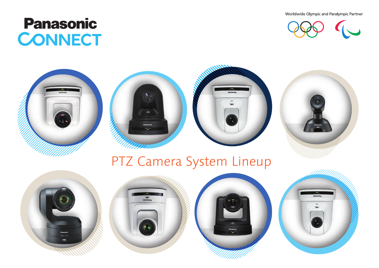Worldwide Olympic and Paralympic Partner



# **Panasonic CONNECT**







## PTZ Camera System Lineup